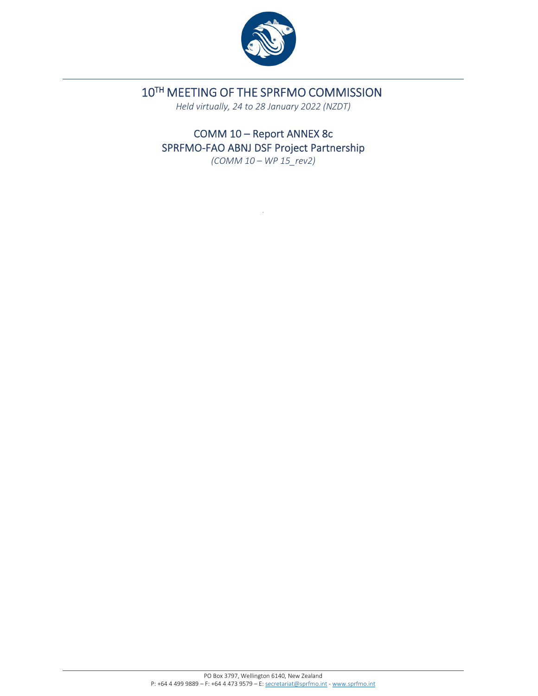

# 10TH MEETING OF THE SPRFMO COMMISSION

*Held virtually, 24 to 28 January 2022 (NZDT)*

COMM 10 – Report ANNEX 8c SPRFMO-FAO ABNJ DSF Project Partnership

*(COMM 10 – WP 15\_rev2)*

.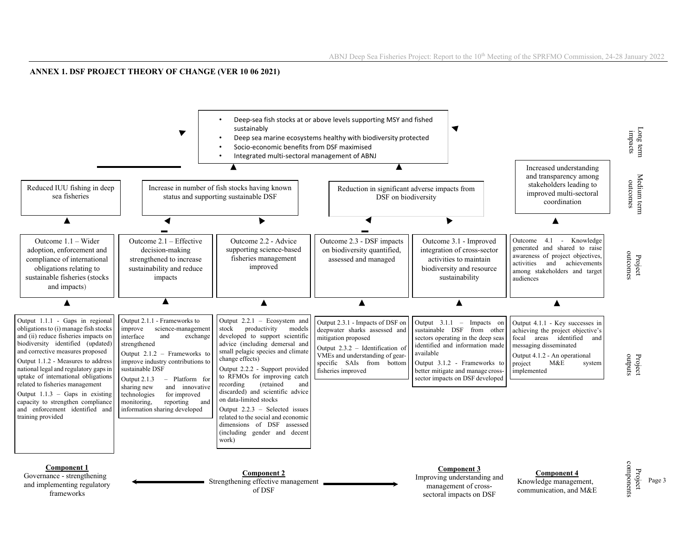#### **ANNEX 1. DSF PROJECT THEORY OF CHANGE (VER 10 06 2021)**

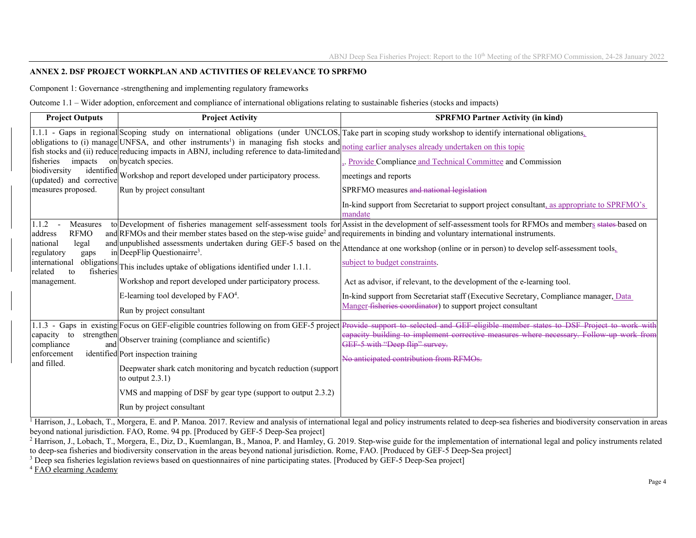#### **ANNEX 2. DSF PROJECT WORKPLAN AND ACTIVITIES OF RELEVANCE TO SPRFMO**

Component 1: Governance -strengthening and implementing regulatory frameworks

Outcome 1.1 – Wider adoption, enforcement and compliance of international obligations relating to sustainable fisheries (stocks and impacts)

| <b>Project Outputs</b>                      | <b>Project Activity</b>                                                                                                                                                                            | <b>SPRFMO Partner Activity (in kind)</b>                                                                                                                      |
|---------------------------------------------|----------------------------------------------------------------------------------------------------------------------------------------------------------------------------------------------------|---------------------------------------------------------------------------------------------------------------------------------------------------------------|
|                                             |                                                                                                                                                                                                    | 1.1.1 - Gaps in regional Scoping study on international obligations (under UNCLOS, Take part in scoping study workshop to identify international obligations, |
|                                             | obligations to (i) manage UNFSA, and other instruments <sup>1</sup> ) in managing fish stocks and<br>fish stocks and (ii) reduce reducing impacts in ABNJ, including reference to data-limited and | noting earlier analyses already undertaken on this topic                                                                                                      |
| impacts<br>fisheries                        | on bycatch species.                                                                                                                                                                                | Provide Compliance and Technical Committee and Commission                                                                                                     |
| biodiversity<br>(updated) and corrective    | identified Workshop and report developed under participatory process.                                                                                                                              | meetings and reports                                                                                                                                          |
| measures proposed.                          | Run by project consultant                                                                                                                                                                          | SPRFMO measures and national legislation                                                                                                                      |
|                                             |                                                                                                                                                                                                    | In-kind support from Secretariat to support project consultant, as appropriate to SPRFMO's<br>mandate                                                         |
| 1.1.2<br>Measures<br><b>RFMO</b><br>address | and RFMOs and their member states based on the step-wise guide <sup>2</sup> and requirements in binding and voluntary international instruments.                                                   | to Development of fisheries management self-assessment tools for Assist in the development of self-assessment tools for RFMOs and members states based on     |
| legal<br>national<br>regulatory<br>gaps     | and unpublished assessments undertaken during GEF-5 based on the<br>in DeepFlip Questionairre <sup>3</sup> .                                                                                       | Attendance at one workshop (online or in person) to develop self-assessment tools.                                                                            |
| international<br>related<br>to              | obligations This includes uptake of obligations identified under 1.1.1.                                                                                                                            | subject to budget constraints.                                                                                                                                |
| management.                                 | Workshop and report developed under participatory process.                                                                                                                                         | Act as advisor, if relevant, to the development of the e-learning tool.                                                                                       |
|                                             | E-learning tool developed by $FAO4$ .                                                                                                                                                              | In-kind support from Secretariat staff (Executive Secretary, Compliance manager, Data                                                                         |
|                                             | Run by project consultant                                                                                                                                                                          | Manger-fisheries coordinator) to support project consultant                                                                                                   |
| 1.1.3                                       | - Gaps in existing Focus on GEF-eligible countries following on from GEF-5 project                                                                                                                 | Provide support to selected and GEF eligible member states to DSF Project to work with                                                                        |
| capacity to<br>compliance                   | strengthen Observer training (compliance and scientific)                                                                                                                                           | eapacity building to implement corrective measures where necessary. Follow up work from<br>GEF 5 with "Deep flip" survey.                                     |
| enforcement                                 | identified Port inspection training                                                                                                                                                                | No anticipated contribution from RFMOs.                                                                                                                       |
| and filled.                                 | Deepwater shark catch monitoring and bycatch reduction (support<br>to output $2.3.1$ )                                                                                                             |                                                                                                                                                               |
|                                             | VMS and mapping of DSF by gear type (support to output 2.3.2)                                                                                                                                      |                                                                                                                                                               |
|                                             | Run by project consultant                                                                                                                                                                          |                                                                                                                                                               |

 $\frac{1}{1}$  Harrison, J., Lobach, T., Morgera, E. and P. Manoa. 2017. Review and analysis of international legal and policy instruments related to deep-sea fisheries and biodiversity conservation in areas beyond national jurisdiction. FAO, Rome. 94 pp. [Produced by GEF-5 Deep-Sea project]

<sup>2</sup> Harrison, J., Lobach, T., Morgera, E., Diz, D., Kuemlangan, B., Manoa, P. and Hamley, G. 2019. Step-wise guide for the implementation of international legal and policy instruments related to deep-sea fisheries and biodiversity conservation in the areas beyond national jurisdiction. Rome, FAO. [Produced by GEF-5 Deep-Sea project]

<sup>3</sup> Deep sea fisheries legislation reviews based on questionnaires of nine participating states. [Produced by GEF-5 Deep-Sea project]

4 FAO elearning Academy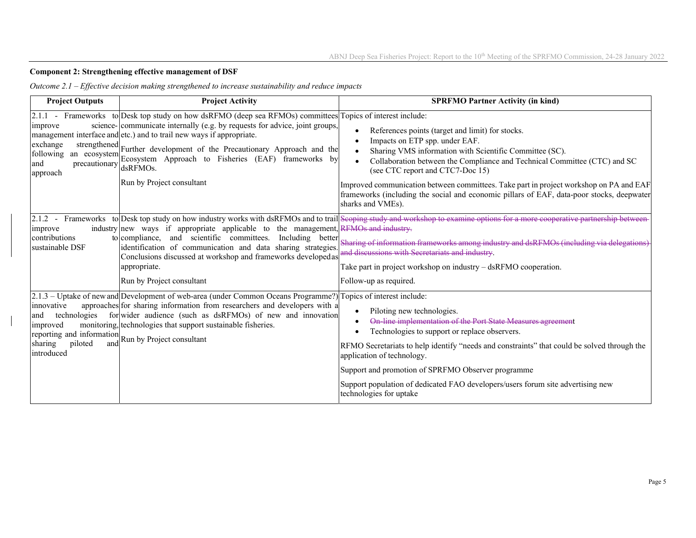## **Component 2: Strengthening effective management of DSF**

*Outcome 2.1 – Effective decision making strengthened to increase sustainability and reduce impacts* 

| <b>Project Outputs</b>                                                                                                                   | <b>Project Activity</b>                                                                                                                                                                                                                                                                                                                                                                                                                                 | <b>SPRFMO Partner Activity (in kind)</b>                                                                                                                                                                                                                                                                                                                                                                                                                                   |
|------------------------------------------------------------------------------------------------------------------------------------------|---------------------------------------------------------------------------------------------------------------------------------------------------------------------------------------------------------------------------------------------------------------------------------------------------------------------------------------------------------------------------------------------------------------------------------------------------------|----------------------------------------------------------------------------------------------------------------------------------------------------------------------------------------------------------------------------------------------------------------------------------------------------------------------------------------------------------------------------------------------------------------------------------------------------------------------------|
| improve<br>exchange<br>$\text{precautionary}$ $\text{dsRFMOs.}$<br>approach                                                              | [2.1.1 - Frameworks to Desk top study on how dsRFMO (deep sea RFMOs) committees Topics of interest include:<br>science- communicate internally (e.g. by requests for advice, joint groups,<br>management interface and etc.) and to trail new ways if appropriate.<br>strengthened Further development of the Precautionary Approach and the<br>following an ecosystem Ecosystem Approach to Fisheries (EAF) frameworks by<br>Run by Project consultant | References points (target and limit) for stocks.<br>Impacts on ETP spp. under EAF.<br>Sharing VMS information with Scientific Committee (SC).<br>Collaboration between the Compliance and Technical Committee (CTC) and SC<br>(see CTC report and CTC7-Doc 15)<br>Improved communication between committees. Take part in project workshop on PA and EAF<br>frameworks (including the social and economic pillars of EAF, data-poor stocks, deepwater<br>sharks and VMEs). |
| $2.1.2 -$<br>improve<br>contributions<br>sustainable DSF                                                                                 | industry new ways if appropriate applicable to the management, RFMOs and industry-<br>to compliance, and scientific committees.<br>Including better<br>identification of communication and data sharing strategies.<br>Conclusions discussed at workshop and frameworks developedas<br>appropriate.<br>Run by Project consultant                                                                                                                        | Frameworks to Desk top study on how industry works with dsRFMOs and to trail Scoping study and workshop to examine options for a more cooperative partnership between<br>Sharing of information frameworks among industry and dsRFMOs (including via delegations)<br>and discussions with Secretariats and industry.<br>Take part in project workshop on industry – dsRFMO cooperation.<br>Follow-up as required.                                                          |
| innovative<br>technologies<br>and<br>improved<br>reporting and information Run by Project consultant<br>piloted<br>sharing<br>introduced | $[2.1.3 - Uptake]$ of new and Development of web-area (under Common Oceans Programme?) Topics of interest include:<br>approaches for sharing information from researchers and developers with a<br>for wider audience (such as dsRFMOs) of new and innovation<br>monitoring, technologies that support sustainable fisheries.                                                                                                                           | Piloting new technologies.<br>On-line implementation of the Port State Measures agreement<br>Technologies to support or replace observers.<br>RFMO Secretariats to help identify "needs and constraints" that could be solved through the<br>application of technology.<br>Support and promotion of SPRFMO Observer programme<br>Support population of dedicated FAO developers/users forum site advertising new<br>technologies for uptake                                |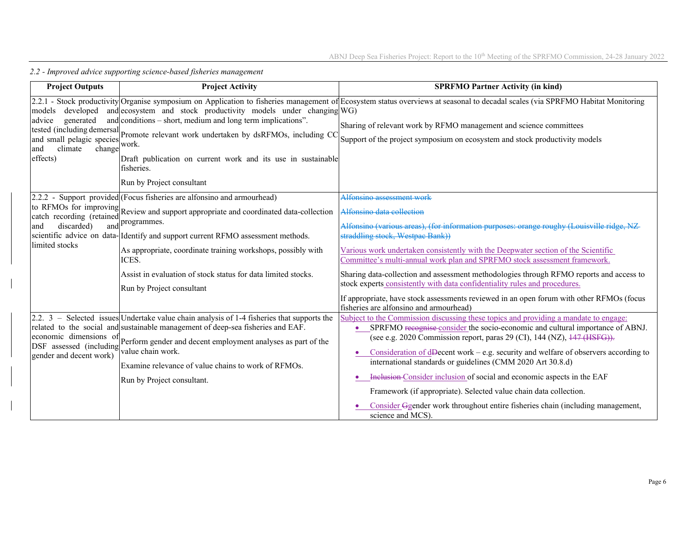| <b>Project Outputs</b>                                                                                          | <b>Project Activity</b>                                                                                                                                                                                                                                                                                                                                   | <b>SPRFMO Partner Activity (in kind)</b>                                                                                                                                                                                                                                                                                                                                                                                                                                                                                                                                                                                                                       |
|-----------------------------------------------------------------------------------------------------------------|-----------------------------------------------------------------------------------------------------------------------------------------------------------------------------------------------------------------------------------------------------------------------------------------------------------------------------------------------------------|----------------------------------------------------------------------------------------------------------------------------------------------------------------------------------------------------------------------------------------------------------------------------------------------------------------------------------------------------------------------------------------------------------------------------------------------------------------------------------------------------------------------------------------------------------------------------------------------------------------------------------------------------------------|
| developed<br>models<br>generated<br>advice<br>and small pelagic species<br>climate<br>change<br>and<br>effects) | and ecosystem and stock productivity models under changing WG)<br>and conditions – short, medium and long term implications".<br>tested (including demersal Promote relevant work undertaken by dsRFMOs, including CC<br>work.<br>Draft publication on current work and its use in sustainable<br>fisheries.<br>Run by Project consultant                 | 2.2.1 - Stock productivity Organise symposium on Application to fisheries management of Ecosystem status overviews at seasonal to decadal scales (via SPRFMO Habitat Monitoring<br>Sharing of relevant work by RFMO management and science committees<br>Support of the project symposium on ecosystem and stock productivity models                                                                                                                                                                                                                                                                                                                           |
| discarded)<br>and                                                                                               | 2.2.2 - Support provided (Focus fisheries are alfonsino and armourhead)<br>to RFMOs for improving Review and support appropriate and coordinated data-collection<br>and programmes.                                                                                                                                                                       | Alfonsino assessment work<br>Alfonsino data collection<br>Alfonsino (various areas), (for information purposes: orange roughy (Louisville ridge                                                                                                                                                                                                                                                                                                                                                                                                                                                                                                                |
| limited stocks                                                                                                  | scientific advice on data- Identify and support current RFMO assessment methods.<br>As appropriate, coordinate training workshops, possibly with<br>ICES.                                                                                                                                                                                                 | straddling stock, Westpac Bank))<br>Various work undertaken consistently with the Deepwater section of the Scientific<br>Committee's multi-annual work plan and SPRFMO stock assessment framework.                                                                                                                                                                                                                                                                                                                                                                                                                                                             |
|                                                                                                                 | Assist in evaluation of stock status for data limited stocks.<br>Run by Project consultant                                                                                                                                                                                                                                                                | Sharing data-collection and assessment methodologies through RFMO reports and access to<br>stock experts consistently with data confidentiality rules and procedures.<br>If appropriate, have stock assessments reviewed in an open forum with other RFMOs (focus<br>fisheries are alfonsino and armourhead)                                                                                                                                                                                                                                                                                                                                                   |
| economic dimensions of<br>DSF assessed (including<br>gender and decent work)                                    | 2.2. $3$ – Selected issues Undertake value chain analysis of 1-4 fisheries that supports the<br>related to the social and sustainable management of deep-sea fisheries and EAF.<br>Perform gender and decent employment analyses as part of the<br>value chain work.<br>Examine relevance of value chains to work of RFMOs.<br>Run by Project consultant. | Subject to the Commission discussing these topics and providing a mandate to engage:<br>• SPRFMO recognise consider the socio-economic and cultural importance of ABNJ.<br>(see e.g. 2020 Commission report, paras 29 (CI), 144 (NZ), 447 (HSFG)).<br>Consideration of dDecent work – e.g. security and welfare of observers according to<br>international standards or guidelines (CMM 2020 Art 30.8.d)<br>Inclusion-Consider inclusion of social and economic aspects in the EAF<br>Framework (if appropriate). Selected value chain data collection.<br>Consider Ggender work throughout entire fisheries chain (including management,<br>science and MCS). |

*2.2 - Improved advice supporting science-based fisheries management*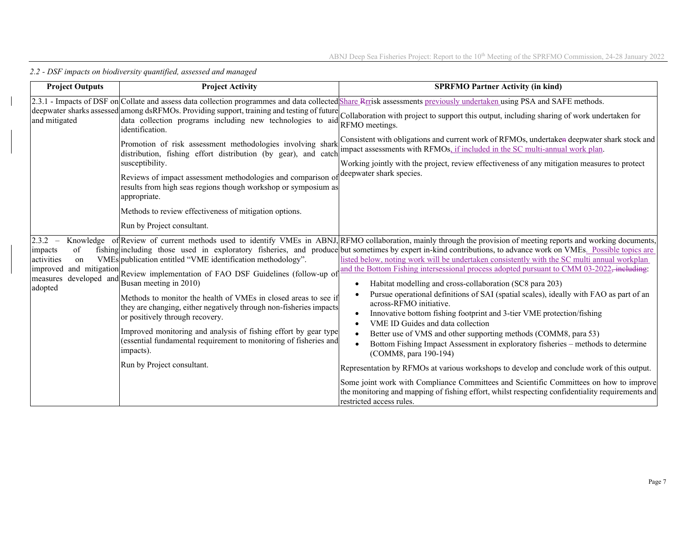| <b>Project Outputs</b>                                                                                           | <b>Project Activity</b>                                                                                                                                                                                                                                                                                                                                                                                                                                                                                           | <b>SPRFMO Partner Activity (in kind)</b>                                                                                                                                                                                                                                                                                                                                                                                                                                                                                                                                                                                                                                                                                                                                                                                                                                                                                                                                                                                                                                                                                                                                                                                                                                                                                             |
|------------------------------------------------------------------------------------------------------------------|-------------------------------------------------------------------------------------------------------------------------------------------------------------------------------------------------------------------------------------------------------------------------------------------------------------------------------------------------------------------------------------------------------------------------------------------------------------------------------------------------------------------|--------------------------------------------------------------------------------------------------------------------------------------------------------------------------------------------------------------------------------------------------------------------------------------------------------------------------------------------------------------------------------------------------------------------------------------------------------------------------------------------------------------------------------------------------------------------------------------------------------------------------------------------------------------------------------------------------------------------------------------------------------------------------------------------------------------------------------------------------------------------------------------------------------------------------------------------------------------------------------------------------------------------------------------------------------------------------------------------------------------------------------------------------------------------------------------------------------------------------------------------------------------------------------------------------------------------------------------|
| and mitigated                                                                                                    | identification.<br>Promotion of risk assessment methodologies involving shark<br>distribution, fishing effort distribution (by gear), and catch<br>susceptibility.<br>Reviews of impact assessment methodologies and comparison of<br>results from high seas regions though workshop or symposium as<br>appropriate.<br>Methods to review effectiveness of mitigation options.<br>Run by Project consultant.                                                                                                      | 2.3.1 - Impacts of DSF on Collate and assess data collection programmes and data collected Share Rrrisk assessments previously undertaken using PSA and SAFE methods.<br>deepwater sharks assessed among dsRFMOs. Providing support, training and testing of future Collaboration with project to support this output, including sharing of work undertaken for deepwater sharks assessed among dsRFMOs<br>RFMO meetings.<br>Consistent with obligations and current work of RFMOs, undertaken deepwater shark stock and<br>impact assessments with RFMOs, if included in the SC multi-annual work plan.<br>Working jointly with the project, review effectiveness of any mitigation measures to protect<br>deepwater shark species.                                                                                                                                                                                                                                                                                                                                                                                                                                                                                                                                                                                                 |
| 2.3.2<br>of<br>impacts<br>activities<br>on<br>and mitigation<br>improved<br>developed and<br>measures<br>adopted | VMEs publication entitled "VME identification methodology".<br>Review implementation of FAO DSF Guidelines (follow-up of<br>Busan meeting in 2010)<br>Methods to monitor the health of VMEs in closed areas to see if<br>they are changing, either negatively through non-fisheries impacts<br>or positively through recovery.<br>Improved monitoring and analysis of fishing effort by gear type<br>(essential fundamental requirement to monitoring of fisheries and<br>impacts).<br>Run by Project consultant. | Knowledge of Review of current methods used to identify VMEs in ABNJ, RFMO collaboration, mainly through the provision of meeting reports and working documents,<br>fishing including those used in exploratory fisheries, and produce but sometimes by expert in-kind contributions, to advance work on VMEs. Possible topics are<br>listed below, noting work will be undertaken consistently with the SC multi annual workplan<br>and the Bottom Fishing intersessional process adopted pursuant to CMM 03-2022, including:<br>Habitat modelling and cross-collaboration (SC8 para 203)<br>Pursue operational definitions of SAI (spatial scales), ideally with FAO as part of an<br>across-RFMO initiative.<br>Innovative bottom fishing footprint and 3-tier VME protection/fishing<br>VME ID Guides and data collection<br>Better use of VMS and other supporting methods (COMM8, para 53)<br>Bottom Fishing Impact Assessment in exploratory fisheries – methods to determine<br>(COMM8, para 190-194)<br>Representation by RFMOs at various workshops to develop and conclude work of this output.<br>Some joint work with Compliance Committees and Scientific Committees on how to improve<br>the monitoring and mapping of fishing effort, whilst respecting confidentiality requirements and<br>restricted access rules. |

*2.2 - DSF impacts on biodiversity quantified, assessed and managed*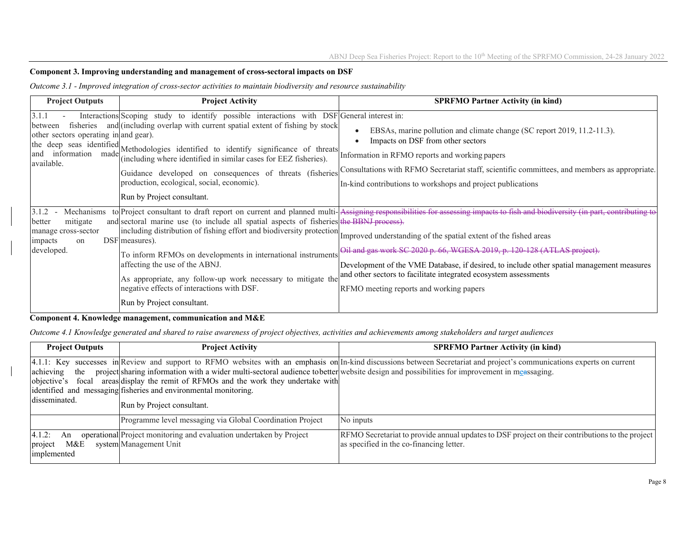#### **Component 3. Improving understanding and management of cross-sectoral impacts on DSF**

*Outcome 3.1 - Improved integration of cross-sector activities to maintain biodiversity and resource sustainability* 

| <b>Project Outputs</b>                                                            | <b>Project Activity</b>                                                                                                                                                                                                                                                                                                                                                                                                                                                                          | <b>SPRFMO Partner Activity (in kind)</b>                                                                                                                                                                                                                                                                                                                                                                                                                                 |
|-----------------------------------------------------------------------------------|--------------------------------------------------------------------------------------------------------------------------------------------------------------------------------------------------------------------------------------------------------------------------------------------------------------------------------------------------------------------------------------------------------------------------------------------------------------------------------------------------|--------------------------------------------------------------------------------------------------------------------------------------------------------------------------------------------------------------------------------------------------------------------------------------------------------------------------------------------------------------------------------------------------------------------------------------------------------------------------|
| 3.1.1<br>between<br>other sectors operating in and gear).<br>available.           | Interactions Scoping study to identify possible interactions with DSF General interest in:<br>fisheries and (including overlap with current spatial extent of fishing by stock<br>the deep seas identified Methodologies identified to identify significance of threats<br>(including where identified in similar cases for EEZ fisheries).<br>Guidance developed on consequences of threats (fisheries<br>production, ecological, social, economic).<br>Run by Project consultant.              | EBSAs, marine pollution and climate change (SC report 2019, 11.2-11.3).<br>Impacts on DSF from other sectors<br>Information in RFMO reports and working papers<br>Consultations with RFMO Secretariat staff, scientific committees, and members as appropriate.<br>In-kind contributions to workshops and project publications                                                                                                                                           |
| 3.1.2<br>mitigate<br>better<br>manage cross-sector<br>impacts<br>on<br>developed. | and sectoral marine use (to include all spatial aspects of fisheries the BBNJ process).<br>including distribution of fishing effort and biodiversity protection Improved understanding of the spatial extent of the fished areas<br>DSF measures).<br>To inform RFMOs on developments in international instruments<br>affecting the use of the ABNJ.<br>As appropriate, any follow-up work necessary to mitigate the<br>negative effects of interactions with DSF.<br>Run by Project consultant. | Mechanisms to Project consultant to draft report on current and planned multi-Assigning responsibilities for assessing impacts to fish and biodiversity (in part, contributing to<br>Oil and gas work SC 2020 p. 66, WGESA 2019, p. 120-128 (ATLAS project).<br>Development of the VME Database, if desired, to include other spatial management measures<br>and other sectors to facilitate integrated ecosystem assessments<br>RFMO meeting reports and working papers |

## **Component 4. Knowledge management, communication and M&E**

*Outcome 4.1 Knowledge generated and shared to raise awareness of project objectives, activities and achievements among stakeholders and target audiences* 

| <b>Project Outputs</b>                           | <b>Project Activity</b>                                                                                                                                                                                                                                                                                                 | <b>SPRFMO Partner Activity (in kind)</b>                                                                                                                                 |  |
|--------------------------------------------------|-------------------------------------------------------------------------------------------------------------------------------------------------------------------------------------------------------------------------------------------------------------------------------------------------------------------------|--------------------------------------------------------------------------------------------------------------------------------------------------------------------------|--|
| achieving<br>the<br>objective's<br>disseminated. | project sharing information with a wider multi-sectoral audience to better website design and possibilities for improvement in meassaging.<br>focal areas display the remit of RFMOs and the work they undertake with<br>identified and messaging fisheries and environmental monitoring.<br>Run by Project consultant. | [4.1.1: Key successes in Review and support to RFMO websites with an emphasis on In-kind discussions between Secretariat and project's communications experts on current |  |
|                                                  | Programme level messaging via Global Coordination Project                                                                                                                                                                                                                                                               | No inputs                                                                                                                                                                |  |
| 4.1.2:<br>An<br>M&E<br>project<br>implemented    | operational Project monitoring and evaluation undertaken by Project<br>system Management Unit                                                                                                                                                                                                                           | RFMO Secretariat to provide annual updates to DSF project on their contributions to the project<br>as specified in the co-financing letter.                              |  |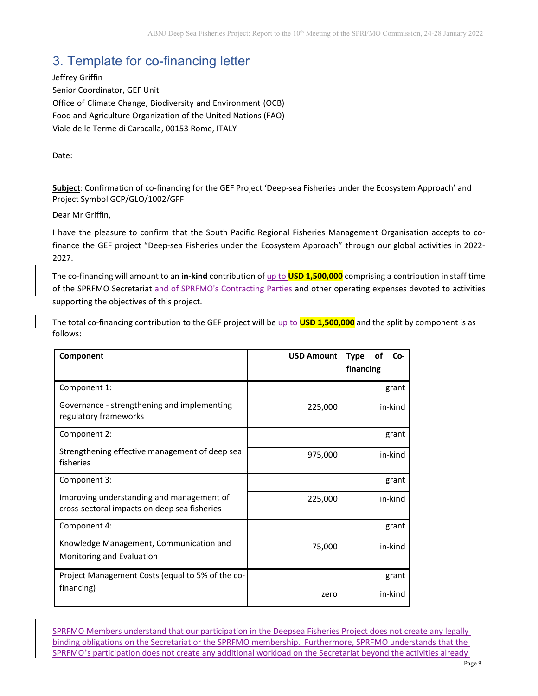# 3. Template for co-financing letter

Jeffrey Griffin Senior Coordinator, GEF Unit Office of Climate Change, Biodiversity and Environment (OCB) Food and Agriculture Organization of the United Nations (FAO) Viale delle Terme di Caracalla, 00153 Rome, ITALY

Date:

**Subject**: Confirmation of co‐financing for the GEF Project 'Deep‐sea Fisheries under the Ecosystem Approach' and Project Symbol GCP/GLO/1002/GFF

Dear Mr Griffin,

I have the pleasure to confirm that the South Pacific Regional Fisheries Management Organisation accepts to co‐ finance the GEF project "Deep-sea Fisheries under the Ecosystem Approach" through our global activities in 2022-2027.

The co‐financing will amount to an **in‐kind** contribution of up to **USD 1,500,000** comprising a contribution in staff time of the SPRFMO Secretariat and of SPRFMO's Contracting Parties and other operating expenses devoted to activities supporting the objectives of this project.

The total co‐financing contribution to the GEF project will be up to **USD 1,500,000** and the split by component is as follows:

| Component                                                                                 | <b>USD Amount</b> | οf<br>$Co-$<br><b>Type</b><br>financing |
|-------------------------------------------------------------------------------------------|-------------------|-----------------------------------------|
| Component 1:                                                                              |                   | grant                                   |
| Governance - strengthening and implementing<br>regulatory frameworks                      | 225,000           | in-kind                                 |
| Component 2:                                                                              |                   | grant                                   |
| Strengthening effective management of deep sea<br>fisheries                               | 975,000           | in-kind                                 |
| Component 3:                                                                              |                   | grant                                   |
| Improving understanding and management of<br>cross-sectoral impacts on deep sea fisheries | 225,000           | in-kind                                 |
| Component 4:                                                                              |                   | grant                                   |
| Knowledge Management, Communication and<br>Monitoring and Evaluation                      | 75,000            | in-kind                                 |
| Project Management Costs (equal to 5% of the co-                                          |                   | grant                                   |
| financing)                                                                                | zero              | in-kind                                 |

SPRFMO Members understand that our participation in the Deepsea Fisheries Project does not create any legally binding obligations on the Secretariat or the SPRFMO membership. Furthermore, SPRFMO understands that the SPRFMO's participation does not create any additional workload on the Secretariat beyond the activities already